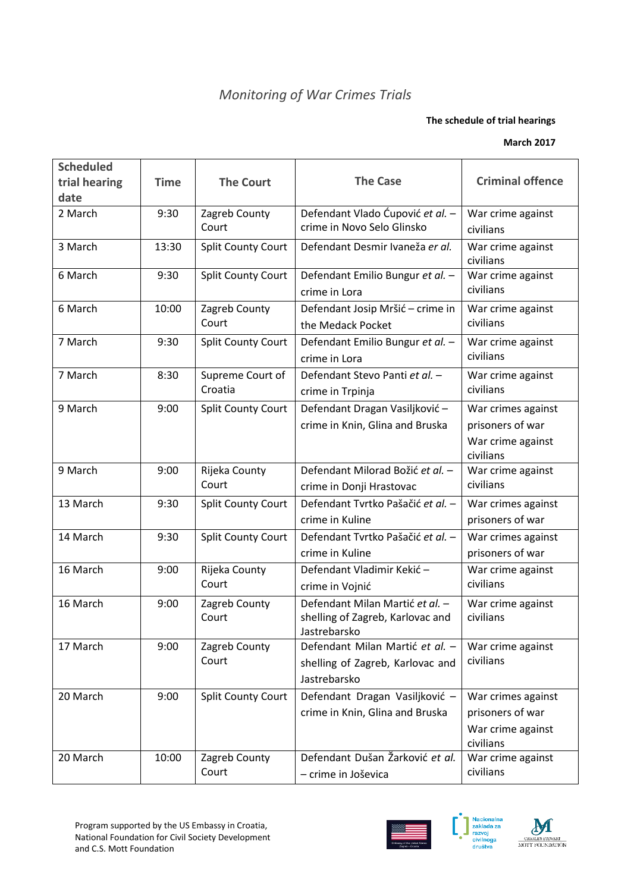## *Monitoring of War Crimes Trials*

## **The schedule of trial hearings**

## **March 2017**

| <b>Scheduled</b> |             |                             |                                                                                     |                                                                          |
|------------------|-------------|-----------------------------|-------------------------------------------------------------------------------------|--------------------------------------------------------------------------|
| trial hearing    | <b>Time</b> | <b>The Court</b>            | <b>The Case</b>                                                                     | <b>Criminal offence</b>                                                  |
| date             |             |                             |                                                                                     |                                                                          |
| 2 March          | 9:30        | Zagreb County<br>Court      | Defendant Vlado Ćupović et al. -<br>crime in Novo Selo Glinsko                      | War crime against<br>civilians                                           |
| 3 March          | 13:30       | <b>Split County Court</b>   | Defendant Desmir Ivaneža er al.                                                     | War crime against<br>civilians                                           |
| 6 March          | 9:30        | <b>Split County Court</b>   | Defendant Emilio Bungur et al. -<br>crime in Lora                                   | War crime against<br>civilians                                           |
| 6 March          | 10:00       | Zagreb County<br>Court      | Defendant Josip Mršić - crime in<br>the Medack Pocket                               | War crime against<br>civilians                                           |
| 7 March          | 9:30        | <b>Split County Court</b>   | Defendant Emilio Bungur et al. -<br>crime in Lora                                   | War crime against<br>civilians                                           |
| 7 March          | 8:30        | Supreme Court of<br>Croatia | Defendant Stevo Panti et al. -<br>crime in Trpinja                                  | War crime against<br>civilians                                           |
| 9 March          | 9:00        | <b>Split County Court</b>   | Defendant Dragan Vasiljković -<br>crime in Knin, Glina and Bruska                   | War crimes against<br>prisoners of war<br>War crime against<br>civilians |
| 9 March          | 9:00        | Rijeka County<br>Court      | Defendant Milorad Božić et al. -<br>crime in Donji Hrastovac                        | War crime against<br>civilians                                           |
| 13 March         | 9:30        | <b>Split County Court</b>   | Defendant Tvrtko Pašačić et al. -<br>crime in Kuline                                | War crimes against<br>prisoners of war                                   |
| 14 March         | 9:30        | Split County Court          | Defendant Tvrtko Pašačić et al. -<br>crime in Kuline                                | War crimes against<br>prisoners of war                                   |
| 16 March         | 9:00        | Rijeka County<br>Court      | Defendant Vladimir Kekić -<br>crime in Vojnić                                       | War crime against<br>civilians                                           |
| 16 March         | 9:00        | Zagreb County<br>Court      | Defendant Milan Martić et al. -<br>shelling of Zagreb, Karlovac and<br>Jastrebarsko | War crime against<br>civilians                                           |
| 17 March         | 9:00        | Zagreb County<br>Court      | Defendant Milan Martić et al. -<br>shelling of Zagreb, Karlovac and<br>Jastrebarsko | War crime against<br>civilians                                           |
| 20 March         | 9:00        | <b>Split County Court</b>   | Defendant Dragan Vasiljković -<br>crime in Knin, Glina and Bruska                   | War crimes against<br>prisoners of war<br>War crime against<br>civilians |
| 20 March         | 10:00       | Zagreb County<br>Court      | Defendant Dušan Žarković et al.<br>- crime in Joševica                              | War crime against<br>civilians                                           |